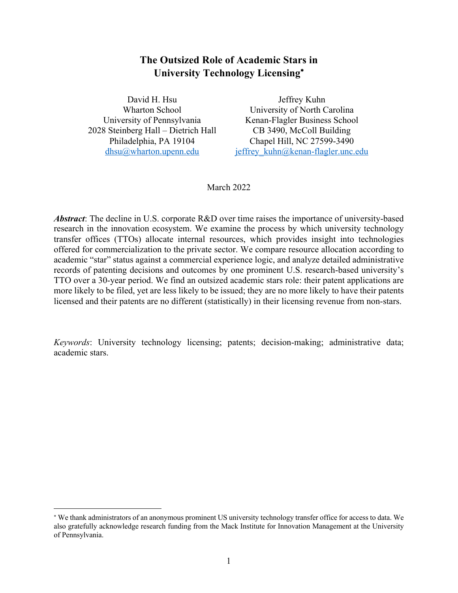# **The Outsized Role of Academic Stars in University Technology Licensing**\*

David H. Hsu Wharton School University of Pennsylvania 2028 Steinberg Hall – Dietrich Hall Philadelphia, PA 19104 dhsu@wharton.upenn.edu

Jeffrey Kuhn University of North Carolina Kenan-Flagler Business School CB 3490, McColl Building Chapel Hill, NC 27599-3490 jeffrey kuhn@kenan-flagler.unc.edu

March 2022

*Abstract*: The decline in U.S. corporate R&D over time raises the importance of university-based research in the innovation ecosystem. We examine the process by which university technology transfer offices (TTOs) allocate internal resources, which provides insight into technologies offered for commercialization to the private sector. We compare resource allocation according to academic "star" status against a commercial experience logic, and analyze detailed administrative records of patenting decisions and outcomes by one prominent U.S. research-based university's TTO over a 30-year period. We find an outsized academic stars role: their patent applications are more likely to be filed, yet are less likely to be issued; they are no more likely to have their patents licensed and their patents are no different (statistically) in their licensing revenue from non-stars.

*Keywords*: University technology licensing; patents; decision-making; administrative data; academic stars.

<sup>\*</sup> We thank administrators of an anonymous prominent US university technology transfer office for access to data. We also gratefully acknowledge research funding from the Mack Institute for Innovation Management at the University of Pennsylvania.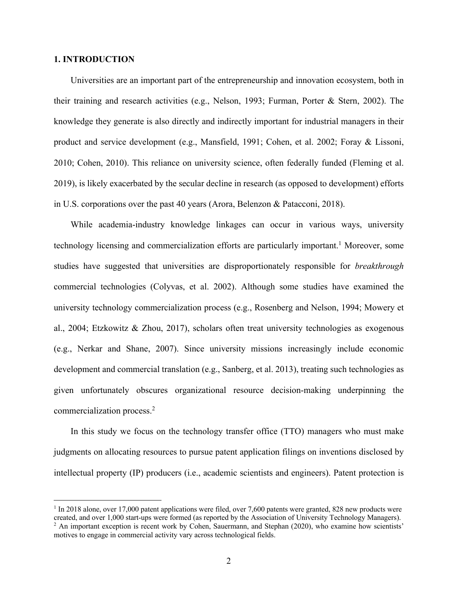## **1. INTRODUCTION**

Universities are an important part of the entrepreneurship and innovation ecosystem, both in their training and research activities (e.g., Nelson, 1993; Furman, Porter & Stern, 2002). The knowledge they generate is also directly and indirectly important for industrial managers in their product and service development (e.g., Mansfield, 1991; Cohen, et al. 2002; Foray & Lissoni, 2010; Cohen, 2010). This reliance on university science, often federally funded (Fleming et al. 2019), is likely exacerbated by the secular decline in research (as opposed to development) efforts in U.S. corporations over the past 40 years (Arora, Belenzon & Patacconi, 2018).

While academia-industry knowledge linkages can occur in various ways, university technology licensing and commercialization efforts are particularly important. <sup>1</sup> Moreover, some studies have suggested that universities are disproportionately responsible for *breakthrough* commercial technologies (Colyvas, et al. 2002). Although some studies have examined the university technology commercialization process (e.g., Rosenberg and Nelson, 1994; Mowery et al., 2004; Etzkowitz & Zhou, 2017), scholars often treat university technologies as exogenous (e.g., Nerkar and Shane, 2007). Since university missions increasingly include economic development and commercial translation (e.g., Sanberg, et al. 2013), treating such technologies as given unfortunately obscures organizational resource decision-making underpinning the commercialization process. 2

In this study we focus on the technology transfer office (TTO) managers who must make judgments on allocating resources to pursue patent application filings on inventions disclosed by intellectual property (IP) producers (i.e., academic scientists and engineers). Patent protection is

 $1$  In 2018 alone, over 17,000 patent applications were filed, over 7,600 patents were granted, 828 new products were created, and over 1,000 start-ups were formed (as reported by the Association of University Technology Managers). <sup>2</sup> An important exception is recent work by Cohen, Sauermann, and Stephan (2020), who examine how scientists' motives to engage in commercial activity vary across technological fields.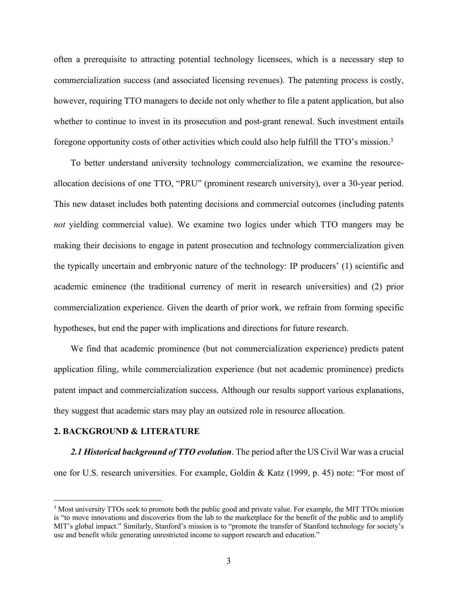often a prerequisite to attracting potential technology licensees, which is a necessary step to commercialization success (and associated licensing revenues). The patenting process is costly, however, requiring TTO managers to decide not only whether to file a patent application, but also whether to continue to invest in its prosecution and post-grant renewal. Such investment entails foregone opportunity costs of other activities which could also help fulfill the TTO's mission.3

To better understand university technology commercialization, we examine the resourceallocation decisions of one TTO, "PRU" (prominent research university), over a 30-year period. This new dataset includes both patenting decisions and commercial outcomes (including patents *not* yielding commercial value). We examine two logics under which TTO mangers may be making their decisions to engage in patent prosecution and technology commercialization given the typically uncertain and embryonic nature of the technology: IP producers' (1) scientific and academic eminence (the traditional currency of merit in research universities) and (2) prior commercialization experience. Given the dearth of prior work, we refrain from forming specific hypotheses, but end the paper with implications and directions for future research.

We find that academic prominence (but not commercialization experience) predicts patent application filing, while commercialization experience (but not academic prominence) predicts patent impact and commercialization success. Although our results support various explanations, they suggest that academic stars may play an outsized role in resource allocation.

#### **2. BACKGROUND & LITERATURE**

*2.1 Historical background of TTO evolution*. The period after the US Civil War was a crucial one for U.S. research universities. For example, Goldin & Katz (1999, p. 45) note: "For most of

<sup>&</sup>lt;sup>3</sup> Most university TTOs seek to promote both the public good and private value. For example, the MIT TTOs mission is "to move innovations and discoveries from the lab to the marketplace for the benefit of the public and to amplify MIT's global impact." Similarly, Stanford's mission is to "promote the transfer of Stanford technology for society's use and benefit while generating unrestricted income to support research and education."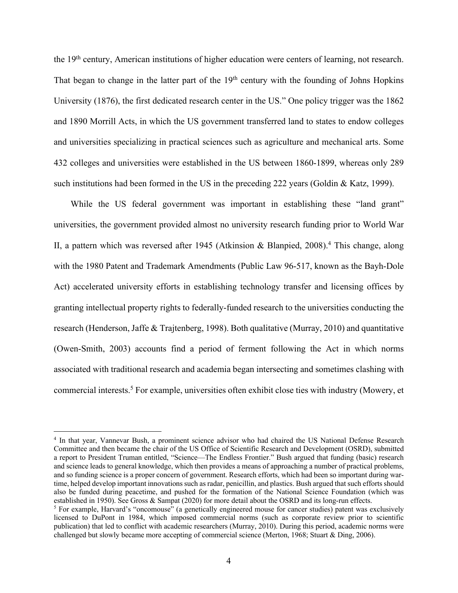the 19th century, American institutions of higher education were centers of learning, not research. That began to change in the latter part of the 19<sup>th</sup> century with the founding of Johns Hopkins University (1876), the first dedicated research center in the US." One policy trigger was the 1862 and 1890 Morrill Acts, in which the US government transferred land to states to endow colleges and universities specializing in practical sciences such as agriculture and mechanical arts. Some 432 colleges and universities were established in the US between 1860-1899, whereas only 289 such institutions had been formed in the US in the preceding 222 years (Goldin & Katz, 1999).

While the US federal government was important in establishing these "land grant" universities, the government provided almost no university research funding prior to World War II, a pattern which was reversed after 1945 (Atkinsion & Blanpied,  $2008$ ).<sup>4</sup> This change, along with the 1980 Patent and Trademark Amendments (Public Law 96-517, known as the Bayh-Dole Act) accelerated university efforts in establishing technology transfer and licensing offices by granting intellectual property rights to federally-funded research to the universities conducting the research (Henderson, Jaffe & Trajtenberg, 1998). Both qualitative (Murray, 2010) and quantitative (Owen-Smith, 2003) accounts find a period of ferment following the Act in which norms associated with traditional research and academia began intersecting and sometimes clashing with commercial interests. <sup>5</sup> For example, universities often exhibit close ties with industry (Mowery, et

<sup>4</sup> In that year, Vannevar Bush, a prominent science advisor who had chaired the US National Defense Research Committee and then became the chair of the US Office of Scientific Research and Development (OSRD), submitted a report to President Truman entitled, "Science—The Endless Frontier." Bush argued that funding (basic) research and science leads to general knowledge, which then provides a means of approaching a number of practical problems, and so funding science is a proper concern of government. Research efforts, which had been so important during wartime, helped develop important innovations such as radar, penicillin, and plastics. Bush argued that such efforts should also be funded during peacetime, and pushed for the formation of the National Science Foundation (which was established in 1950). See Gross & Sampat (2020) for more detail about the OSRD and its long-run effects.

<sup>5</sup> For example, Harvard's "oncomouse" (a genetically engineered mouse for cancer studies) patent was exclusively licensed to DuPont in 1984, which imposed commercial norms (such as corporate review prior to scientific publication) that led to conflict with academic researchers (Murray, 2010). During this period, academic norms were challenged but slowly became more accepting of commercial science (Merton, 1968; Stuart & Ding, 2006).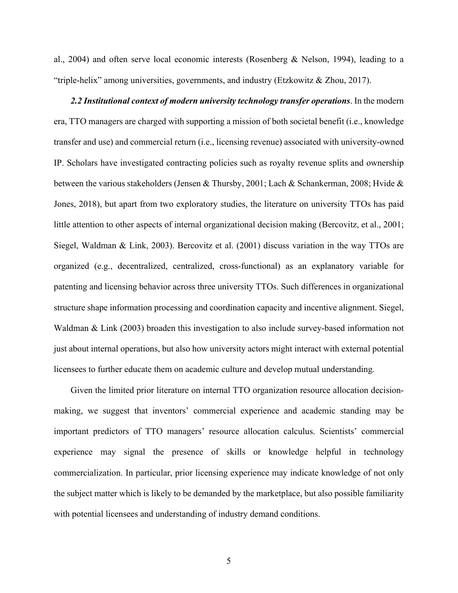al., 2004) and often serve local economic interests (Rosenberg & Nelson, 1994), leading to a "triple-helix" among universities, governments, and industry (Etzkowitz & Zhou, 2017).

*2.2 Institutional context of modern university technology transfer operations*. In the modern era, TTO managers are charged with supporting a mission of both societal benefit (i.e., knowledge transfer and use) and commercial return (i.e., licensing revenue) associated with university-owned IP. Scholars have investigated contracting policies such as royalty revenue splits and ownership between the various stakeholders (Jensen & Thursby, 2001; Lach & Schankerman, 2008; Hvide & Jones, 2018), but apart from two exploratory studies, the literature on university TTOs has paid little attention to other aspects of internal organizational decision making (Bercovitz, et al., 2001; Siegel, Waldman & Link, 2003). Bercovitz et al. (2001) discuss variation in the way TTOs are organized (e.g., decentralized, centralized, cross-functional) as an explanatory variable for patenting and licensing behavior across three university TTOs. Such differences in organizational structure shape information processing and coordination capacity and incentive alignment. Siegel, Waldman & Link (2003) broaden this investigation to also include survey-based information not just about internal operations, but also how university actors might interact with external potential licensees to further educate them on academic culture and develop mutual understanding.

Given the limited prior literature on internal TTO organization resource allocation decisionmaking, we suggest that inventors' commercial experience and academic standing may be important predictors of TTO managers' resource allocation calculus. Scientists' commercial experience may signal the presence of skills or knowledge helpful in technology commercialization. In particular, prior licensing experience may indicate knowledge of not only the subject matter which is likely to be demanded by the marketplace, but also possible familiarity with potential licensees and understanding of industry demand conditions.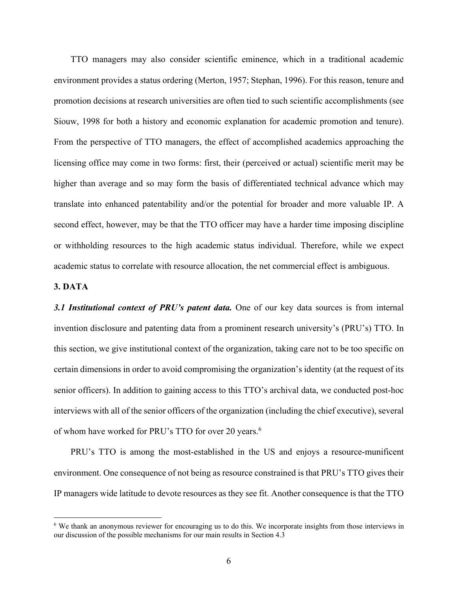TTO managers may also consider scientific eminence, which in a traditional academic environment provides a status ordering (Merton, 1957; Stephan, 1996). For this reason, tenure and promotion decisions at research universities are often tied to such scientific accomplishments (see Siouw, 1998 for both a history and economic explanation for academic promotion and tenure). From the perspective of TTO managers, the effect of accomplished academics approaching the licensing office may come in two forms: first, their (perceived or actual) scientific merit may be higher than average and so may form the basis of differentiated technical advance which may translate into enhanced patentability and/or the potential for broader and more valuable IP. A second effect, however, may be that the TTO officer may have a harder time imposing discipline or withholding resources to the high academic status individual. Therefore, while we expect academic status to correlate with resource allocation, the net commercial effect is ambiguous.

## **3. DATA**

*3.1 Institutional context of PRU's patent data.* One of our key data sources is from internal invention disclosure and patenting data from a prominent research university's (PRU's) TTO. In this section, we give institutional context of the organization, taking care not to be too specific on certain dimensions in order to avoid compromising the organization's identity (at the request of its senior officers). In addition to gaining access to this TTO's archival data, we conducted post-hoc interviews with all of the senior officers of the organization (including the chief executive), several of whom have worked for PRU's TTO for over 20 years. 6

PRU's TTO is among the most-established in the US and enjoys a resource-munificent environment. One consequence of not being as resource constrained is that PRU's TTO gives their IP managers wide latitude to devote resources as they see fit. Another consequence is that the TTO

<sup>&</sup>lt;sup>6</sup> We thank an anonymous reviewer for encouraging us to do this. We incorporate insights from those interviews in our discussion of the possible mechanisms for our main results in Section 4.3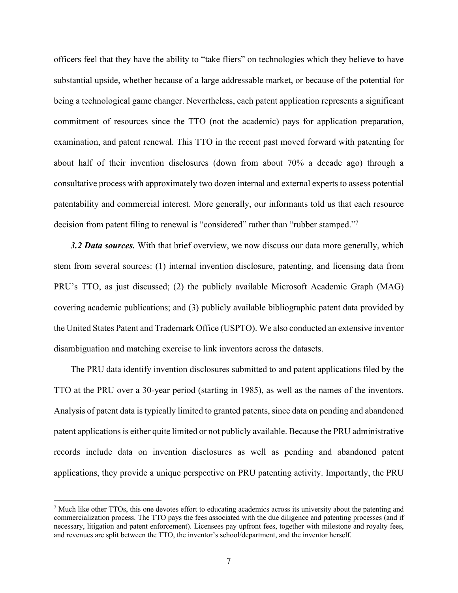officers feel that they have the ability to "take fliers" on technologies which they believe to have substantial upside, whether because of a large addressable market, or because of the potential for being a technological game changer. Nevertheless, each patent application represents a significant commitment of resources since the TTO (not the academic) pays for application preparation, examination, and patent renewal. This TTO in the recent past moved forward with patenting for about half of their invention disclosures (down from about 70% a decade ago) through a consultative process with approximately two dozen internal and external experts to assess potential patentability and commercial interest. More generally, our informants told us that each resource decision from patent filing to renewal is "considered" rather than "rubber stamped."<sup>7</sup>

*3.2 Data sources.* With that brief overview, we now discuss our data more generally, which stem from several sources: (1) internal invention disclosure, patenting, and licensing data from PRU's TTO, as just discussed; (2) the publicly available Microsoft Academic Graph (MAG) covering academic publications; and (3) publicly available bibliographic patent data provided by the United States Patent and Trademark Office (USPTO). We also conducted an extensive inventor disambiguation and matching exercise to link inventors across the datasets.

The PRU data identify invention disclosures submitted to and patent applications filed by the TTO at the PRU over a 30-year period (starting in 1985), as well as the names of the inventors. Analysis of patent data is typically limited to granted patents, since data on pending and abandoned patent applications is either quite limited or not publicly available. Because the PRU administrative records include data on invention disclosures as well as pending and abandoned patent applications, they provide a unique perspective on PRU patenting activity. Importantly, the PRU

 $<sup>7</sup>$  Much like other TTOs, this one devotes effort to educating academics across its university about the patenting and</sup> commercialization process. The TTO pays the fees associated with the due diligence and patenting processes (and if necessary, litigation and patent enforcement). Licensees pay upfront fees, together with milestone and royalty fees, and revenues are split between the TTO, the inventor's school/department, and the inventor herself.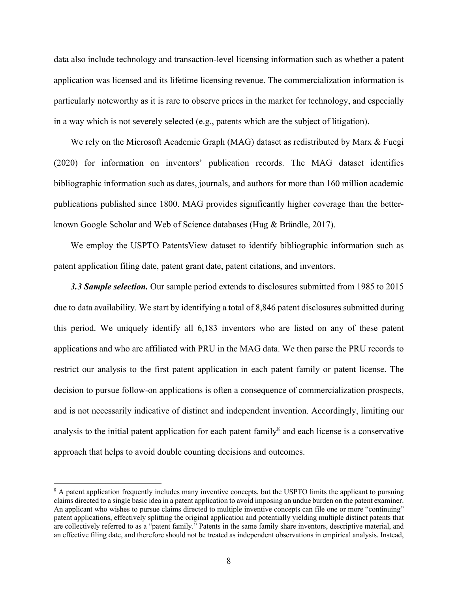data also include technology and transaction-level licensing information such as whether a patent application was licensed and its lifetime licensing revenue. The commercialization information is particularly noteworthy as it is rare to observe prices in the market for technology, and especially in a way which is not severely selected (e.g., patents which are the subject of litigation).

We rely on the Microsoft Academic Graph (MAG) dataset as redistributed by Marx & Fuegi (2020) for information on inventors' publication records. The MAG dataset identifies bibliographic information such as dates, journals, and authors for more than 160 million academic publications published since 1800. MAG provides significantly higher coverage than the betterknown Google Scholar and Web of Science databases (Hug & Brändle, 2017).

We employ the USPTO PatentsView dataset to identify bibliographic information such as patent application filing date, patent grant date, patent citations, and inventors.

*3.3 Sample selection.* Our sample period extends to disclosures submitted from 1985 to 2015 due to data availability. We start by identifying a total of 8,846 patent disclosures submitted during this period. We uniquely identify all 6,183 inventors who are listed on any of these patent applications and who are affiliated with PRU in the MAG data. We then parse the PRU records to restrict our analysis to the first patent application in each patent family or patent license. The decision to pursue follow-on applications is often a consequence of commercialization prospects, and is not necessarily indicative of distinct and independent invention. Accordingly, limiting our analysis to the initial patent application for each patent family<sup>8</sup> and each license is a conservative approach that helps to avoid double counting decisions and outcomes.

<sup>&</sup>lt;sup>8</sup> A patent application frequently includes many inventive concepts, but the USPTO limits the applicant to pursuing claims directed to a single basic idea in a patent application to avoid imposing an undue burden on the patent examiner. An applicant who wishes to pursue claims directed to multiple inventive concepts can file one or more "continuing" patent applications, effectively splitting the original application and potentially yielding multiple distinct patents that are collectively referred to as a "patent family." Patents in the same family share inventors, descriptive material, and an effective filing date, and therefore should not be treated as independent observations in empirical analysis. Instead,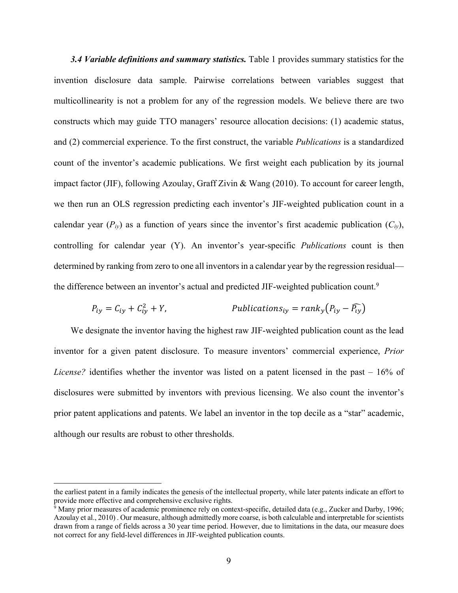*3.4 Variable definitions and summary statistics.* Table 1 provides summary statistics for the invention disclosure data sample. Pairwise correlations between variables suggest that multicollinearity is not a problem for any of the regression models. We believe there are two constructs which may guide TTO managers' resource allocation decisions: (1) academic status, and (2) commercial experience. To the first construct, the variable *Publications* is a standardized count of the inventor's academic publications. We first weight each publication by its journal impact factor (JIF), following Azoulay, Graff Zivin & Wang (2010). To account for career length, we then run an OLS regression predicting each inventor's JIF-weighted publication count in a calendar year  $(P_{iv})$  as a function of years since the inventor's first academic publication  $(C_{iv})$ , controlling for calendar year (Y). An inventor's year-specific *Publications* count is then determined by ranking from zero to one all inventors in a calendar year by the regression residual the difference between an inventor's actual and predicted JIF-weighted publication count.<sup>9</sup>

$$
P_{iy} = C_{iy} + C_{iy}^2 + Y,
$$
 *Publications*<sub>iy</sub> =  $rank_y(P_{iy} - P_{iy})$ 

We designate the inventor having the highest raw JIF-weighted publication count as the lead inventor for a given patent disclosure. To measure inventors' commercial experience, *Prior License?* identifies whether the inventor was listed on a patent licensed in the past – 16% of disclosures were submitted by inventors with previous licensing. We also count the inventor's prior patent applications and patents. We label an inventor in the top decile as a "star" academic, although our results are robust to other thresholds.

the earliest patent in a family indicates the genesis of the intellectual property, while later patents indicate an effort to provide more effective and comprehensive exclusive rights.

 $\frac{1}{9}$  Many prior measures of academic prominence rely on context-specific, detailed data (e.g., Zucker and Darby, 1996; Azoulay et al., 2010) . Our measure, although admittedly more coarse, is both calculable and interpretable for scientists drawn from a range of fields across a 30 year time period. However, due to limitations in the data, our measure does not correct for any field-level differences in JIF-weighted publication counts.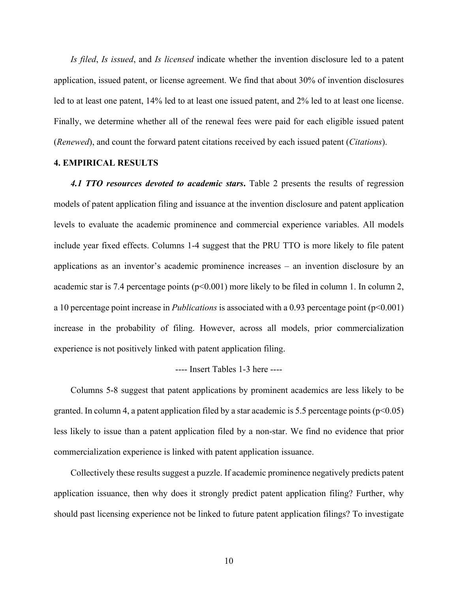*Is filed*, *Is issued*, and *Is licensed* indicate whether the invention disclosure led to a patent application, issued patent, or license agreement. We find that about 30% of invention disclosures led to at least one patent, 14% led to at least one issued patent, and 2% led to at least one license. Finally, we determine whether all of the renewal fees were paid for each eligible issued patent (*Renewed*), and count the forward patent citations received by each issued patent (*Citations*).

## **4. EMPIRICAL RESULTS**

*4.1 TTO resources devoted to academic stars***.** Table 2 presents the results of regression models of patent application filing and issuance at the invention disclosure and patent application levels to evaluate the academic prominence and commercial experience variables. All models include year fixed effects. Columns 1-4 suggest that the PRU TTO is more likely to file patent applications as an inventor's academic prominence increases – an invention disclosure by an academic star is 7.4 percentage points ( $p<0.001$ ) more likely to be filed in column 1. In column 2, a 10 percentage point increase in *Publications* is associated with a 0.93 percentage point (p<0.001) increase in the probability of filing. However, across all models, prior commercialization experience is not positively linked with patent application filing.

#### ---- Insert Tables 1-3 here ----

Columns 5-8 suggest that patent applications by prominent academics are less likely to be granted. In column 4, a patent application filed by a star academic is 5.5 percentage points ( $p<0.05$ ) less likely to issue than a patent application filed by a non-star. We find no evidence that prior commercialization experience is linked with patent application issuance.

Collectively these results suggest a puzzle. If academic prominence negatively predicts patent application issuance, then why does it strongly predict patent application filing? Further, why should past licensing experience not be linked to future patent application filings? To investigate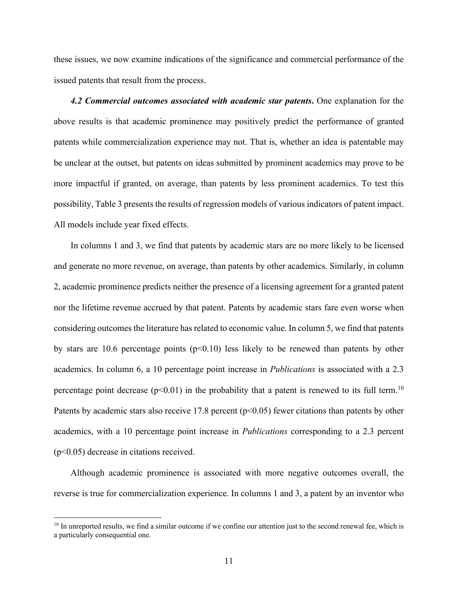these issues, we now examine indications of the significance and commercial performance of the issued patents that result from the process.

*4.2 Commercial outcomes associated with academic star patents***.** One explanation for the above results is that academic prominence may positively predict the performance of granted patents while commercialization experience may not. That is, whether an idea is patentable may be unclear at the outset, but patents on ideas submitted by prominent academics may prove to be more impactful if granted, on average, than patents by less prominent academics. To test this possibility, Table 3 presents the results of regression models of various indicators of patent impact. All models include year fixed effects.

In columns 1 and 3, we find that patents by academic stars are no more likely to be licensed and generate no more revenue, on average, than patents by other academics. Similarly, in column 2, academic prominence predicts neither the presence of a licensing agreement for a granted patent nor the lifetime revenue accrued by that patent. Patents by academic stars fare even worse when considering outcomesthe literature has related to economic value. In column 5, we find that patents by stars are 10.6 percentage points  $(p<0.10)$  less likely to be renewed than patents by other academics. In column 6, a 10 percentage point increase in *Publications* is associated with a 2.3 percentage point decrease  $(p<0.01)$  in the probability that a patent is renewed to its full term.<sup>10</sup> Patents by academic stars also receive 17.8 percent ( $p$ <0.05) fewer citations than patents by other academics, with a 10 percentage point increase in *Publications* corresponding to a 2.3 percent (p<0.05) decrease in citations received.

Although academic prominence is associated with more negative outcomes overall, the reverse is true for commercialization experience. In columns 1 and 3, a patent by an inventor who

<sup>&</sup>lt;sup>10</sup> In unreported results, we find a similar outcome if we confine our attention just to the second renewal fee, which is a particularly consequential one.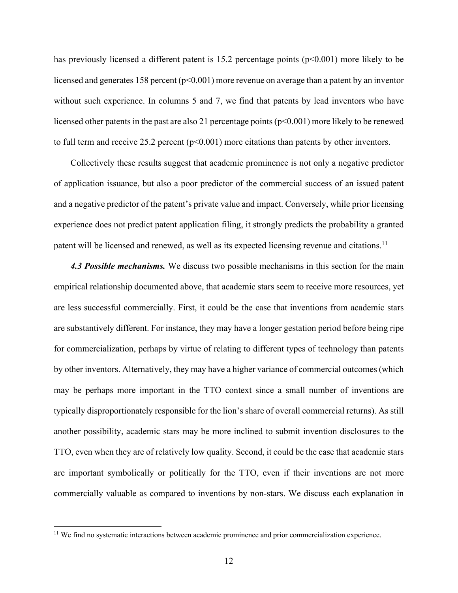has previously licensed a different patent is 15.2 percentage points ( $p<0.001$ ) more likely to be licensed and generates 158 percent ( $p<0.001$ ) more revenue on average than a patent by an inventor without such experience. In columns 5 and 7, we find that patents by lead inventors who have licensed other patents in the past are also 21 percentage points ( $p<0.001$ ) more likely to be renewed to full term and receive 25.2 percent  $(p<0.001)$  more citations than patents by other inventors.

Collectively these results suggest that academic prominence is not only a negative predictor of application issuance, but also a poor predictor of the commercial success of an issued patent and a negative predictor of the patent's private value and impact. Conversely, while prior licensing experience does not predict patent application filing, it strongly predicts the probability a granted patent will be licensed and renewed, as well as its expected licensing revenue and citations.<sup>11</sup>

*4.3 Possible mechanisms.* We discuss two possible mechanisms in this section for the main empirical relationship documented above, that academic stars seem to receive more resources, yet are less successful commercially. First, it could be the case that inventions from academic stars are substantively different. For instance, they may have a longer gestation period before being ripe for commercialization, perhaps by virtue of relating to different types of technology than patents by other inventors. Alternatively, they may have a higher variance of commercial outcomes (which may be perhaps more important in the TTO context since a small number of inventions are typically disproportionately responsible for the lion's share of overall commercial returns). As still another possibility, academic stars may be more inclined to submit invention disclosures to the TTO, even when they are of relatively low quality. Second, it could be the case that academic stars are important symbolically or politically for the TTO, even if their inventions are not more commercially valuable as compared to inventions by non-stars. We discuss each explanation in

<sup>&</sup>lt;sup>11</sup> We find no systematic interactions between academic prominence and prior commercialization experience.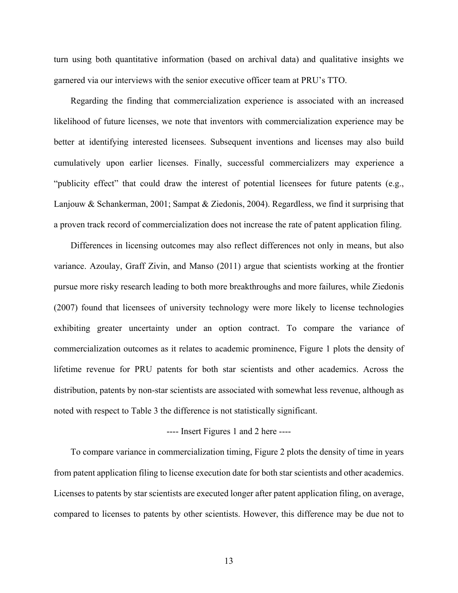turn using both quantitative information (based on archival data) and qualitative insights we garnered via our interviews with the senior executive officer team at PRU's TTO.

Regarding the finding that commercialization experience is associated with an increased likelihood of future licenses, we note that inventors with commercialization experience may be better at identifying interested licensees. Subsequent inventions and licenses may also build cumulatively upon earlier licenses. Finally, successful commercializers may experience a "publicity effect" that could draw the interest of potential licensees for future patents (e.g., Lanjouw & Schankerman, 2001; Sampat & Ziedonis, 2004). Regardless, we find it surprising that a proven track record of commercialization does not increase the rate of patent application filing.

Differences in licensing outcomes may also reflect differences not only in means, but also variance. Azoulay, Graff Zivin, and Manso (2011) argue that scientists working at the frontier pursue more risky research leading to both more breakthroughs and more failures, while Ziedonis (2007) found that licensees of university technology were more likely to license technologies exhibiting greater uncertainty under an option contract. To compare the variance of commercialization outcomes as it relates to academic prominence, Figure 1 plots the density of lifetime revenue for PRU patents for both star scientists and other academics. Across the distribution, patents by non-star scientists are associated with somewhat less revenue, although as noted with respect to Table 3 the difference is not statistically significant.

## ---- Insert Figures 1 and 2 here ----

To compare variance in commercialization timing, Figure 2 plots the density of time in years from patent application filing to license execution date for both star scientists and other academics. Licenses to patents by star scientists are executed longer after patent application filing, on average, compared to licenses to patents by other scientists. However, this difference may be due not to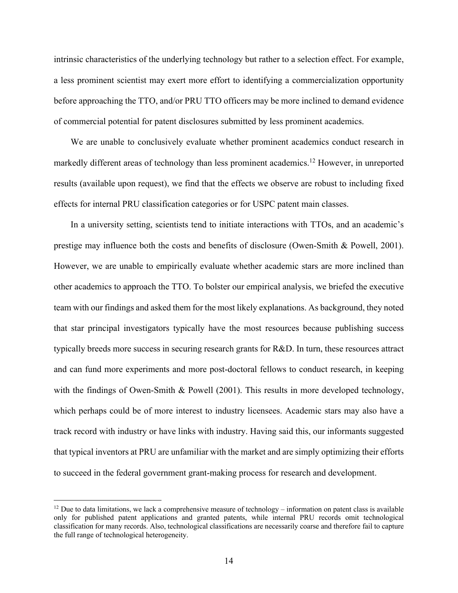intrinsic characteristics of the underlying technology but rather to a selection effect. For example, a less prominent scientist may exert more effort to identifying a commercialization opportunity before approaching the TTO, and/or PRU TTO officers may be more inclined to demand evidence of commercial potential for patent disclosures submitted by less prominent academics.

We are unable to conclusively evaluate whether prominent academics conduct research in markedly different areas of technology than less prominent academics.<sup>12</sup> However, in unreported results (available upon request), we find that the effects we observe are robust to including fixed effects for internal PRU classification categories or for USPC patent main classes.

In a university setting, scientists tend to initiate interactions with TTOs, and an academic's prestige may influence both the costs and benefits of disclosure (Owen-Smith & Powell, 2001). However, we are unable to empirically evaluate whether academic stars are more inclined than other academics to approach the TTO. To bolster our empirical analysis, we briefed the executive team with our findings and asked them for the most likely explanations. As background, they noted that star principal investigators typically have the most resources because publishing success typically breeds more success in securing research grants for R&D. In turn, these resources attract and can fund more experiments and more post-doctoral fellows to conduct research, in keeping with the findings of Owen-Smith & Powell (2001). This results in more developed technology, which perhaps could be of more interest to industry licensees. Academic stars may also have a track record with industry or have links with industry. Having said this, our informants suggested that typical inventors at PRU are unfamiliar with the market and are simply optimizing their efforts to succeed in the federal government grant-making process for research and development.

 $12$  Due to data limitations, we lack a comprehensive measure of technology – information on patent class is available only for published patent applications and granted patents, while internal PRU records omit technological classification for many records. Also, technological classifications are necessarily coarse and therefore fail to capture the full range of technological heterogeneity.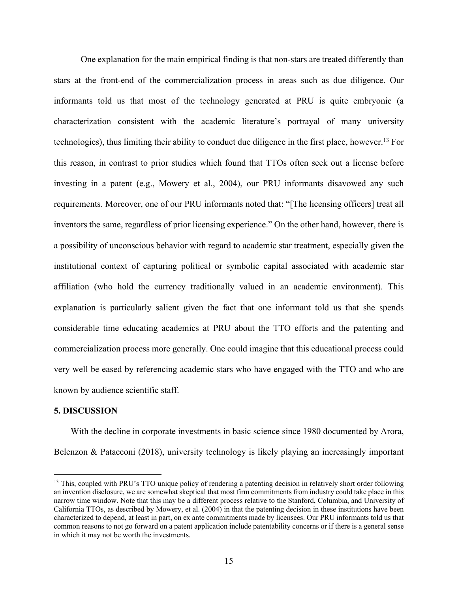One explanation for the main empirical finding is that non-stars are treated differently than stars at the front-end of the commercialization process in areas such as due diligence. Our informants told us that most of the technology generated at PRU is quite embryonic (a characterization consistent with the academic literature's portrayal of many university technologies), thus limiting their ability to conduct due diligence in the first place, however. <sup>13</sup> For this reason, in contrast to prior studies which found that TTOs often seek out a license before investing in a patent (e.g., Mowery et al., 2004), our PRU informants disavowed any such requirements. Moreover, one of our PRU informants noted that: "[The licensing officers] treat all inventors the same, regardless of prior licensing experience." On the other hand, however, there is a possibility of unconscious behavior with regard to academic star treatment, especially given the institutional context of capturing political or symbolic capital associated with academic star affiliation (who hold the currency traditionally valued in an academic environment). This explanation is particularly salient given the fact that one informant told us that she spends considerable time educating academics at PRU about the TTO efforts and the patenting and commercialization process more generally. One could imagine that this educational process could very well be eased by referencing academic stars who have engaged with the TTO and who are known by audience scientific staff.

## **5. DISCUSSION**

With the decline in corporate investments in basic science since 1980 documented by Arora, Belenzon & Patacconi (2018), university technology is likely playing an increasingly important

<sup>&</sup>lt;sup>13</sup> This, coupled with PRU's TTO unique policy of rendering a patenting decision in relatively short order following an invention disclosure, we are somewhat skeptical that most firm commitments from industry could take place in this narrow time window. Note that this may be a different process relative to the Stanford, Columbia, and University of California TTOs, as described by Mowery, et al. (2004) in that the patenting decision in these institutions have been characterized to depend, at least in part, on ex ante commitments made by licensees. Our PRU informants told us that common reasons to not go forward on a patent application include patentability concerns or if there is a general sense in which it may not be worth the investments.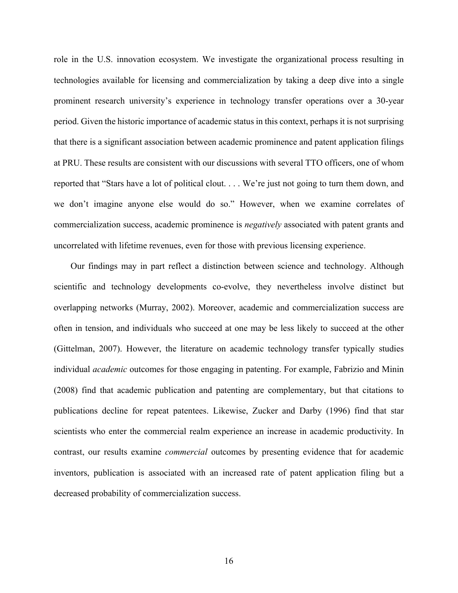role in the U.S. innovation ecosystem. We investigate the organizational process resulting in technologies available for licensing and commercialization by taking a deep dive into a single prominent research university's experience in technology transfer operations over a 30-year period. Given the historic importance of academic status in this context, perhaps it is not surprising that there is a significant association between academic prominence and patent application filings at PRU. These results are consistent with our discussions with several TTO officers, one of whom reported that "Stars have a lot of political clout. . . . We're just not going to turn them down, and we don't imagine anyone else would do so." However, when we examine correlates of commercialization success, academic prominence is *negatively* associated with patent grants and uncorrelated with lifetime revenues, even for those with previous licensing experience.

Our findings may in part reflect a distinction between science and technology. Although scientific and technology developments co-evolve, they nevertheless involve distinct but overlapping networks (Murray, 2002). Moreover, academic and commercialization success are often in tension, and individuals who succeed at one may be less likely to succeed at the other (Gittelman, 2007). However, the literature on academic technology transfer typically studies individual *academic* outcomes for those engaging in patenting. For example, Fabrizio and Minin (2008) find that academic publication and patenting are complementary, but that citations to publications decline for repeat patentees. Likewise, Zucker and Darby (1996) find that star scientists who enter the commercial realm experience an increase in academic productivity. In contrast, our results examine *commercial* outcomes by presenting evidence that for academic inventors, publication is associated with an increased rate of patent application filing but a decreased probability of commercialization success.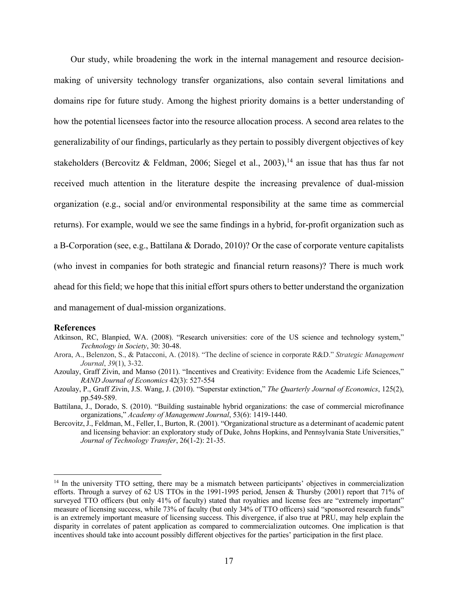Our study, while broadening the work in the internal management and resource decisionmaking of university technology transfer organizations, also contain several limitations and domains ripe for future study. Among the highest priority domains is a better understanding of how the potential licensees factor into the resource allocation process. A second area relates to the generalizability of our findings, particularly as they pertain to possibly divergent objectives of key stakeholders (Bercovitz & Feldman, 2006; Siegel et al., 2003),<sup>14</sup> an issue that has thus far not received much attention in the literature despite the increasing prevalence of dual-mission organization (e.g., social and/or environmental responsibility at the same time as commercial returns). For example, would we see the same findings in a hybrid, for-profit organization such as a B-Corporation (see, e.g., Battilana & Dorado, 2010)? Or the case of corporate venture capitalists (who invest in companies for both strategic and financial return reasons)? There is much work ahead for this field; we hope that this initial effort spurs others to better understand the organization and management of dual-mission organizations.

#### **References**

- Atkinson, RC, Blanpied, WA. (2008). "Research universities: core of the US science and technology system," *Technology in Society*, 30: 30-48.
- Arora, A., Belenzon, S., & Patacconi, A. (2018). "The decline of science in corporate R&D." *Strategic Management Journal*, *39*(1), 3-32.
- Azoulay, Graff Zivin, and Manso (2011). "Incentives and Creativity: Evidence from the Academic Life Sciences," *RAND Journal of Economics* 42(3): 527-554
- Azoulay, P., Graff Zivin, J.S. Wang, J. (2010). "Superstar extinction," *The Quarterly Journal of Economics*, 125(2), pp.549-589.
- Battilana, J., Dorado, S. (2010). "Building sustainable hybrid organizations: the case of commercial microfinance organizations," *Academy of Management Journal*, 53(6): 1419-1440.
- Bercovitz, J., Feldman, M., Feller, I., Burton, R. (2001). "Organizational structure as a determinant of academic patent and licensing behavior: an exploratory study of Duke, Johns Hopkins, and Pennsylvania State Universities," *Journal of Technology Transfer*, 26(1-2): 21-35.

<sup>&</sup>lt;sup>14</sup> In the university TTO setting, there may be a mismatch between participants' objectives in commercialization efforts. Through a survey of 62 US TTOs in the 1991-1995 period, Jensen & Thursby (2001) report that 71% of surveyed TTO officers (but only 41% of faculty) stated that royalties and license fees are "extremely important" measure of licensing success, while 73% of faculty (but only 34% of TTO officers) said "sponsored research funds" is an extremely important measure of licensing success. This divergence, if also true at PRU, may help explain the disparity in correlates of patent application as compared to commercialization outcomes. One implication is that incentives should take into account possibly different objectives for the parties' participation in the first place.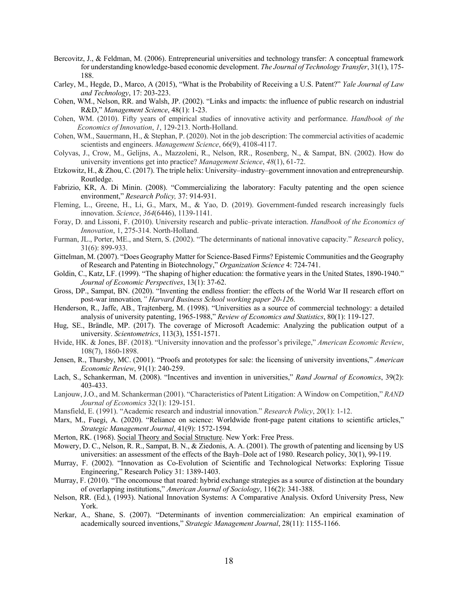- Bercovitz, J., & Feldman, M. (2006). Entrepreneurial universities and technology transfer: A conceptual framework for understanding knowledge-based economic development. *The Journal of Technology Transfer*, 31(1), 175- 188.
- Carley, M., Hegde, D., Marco, A (2015), "What is the Probability of Receiving a U.S. Patent?" *Yale Journal of Law and Technology*, 17: 203-223.
- Cohen, WM., Nelson, RR. and Walsh, JP. (2002). "Links and impacts: the influence of public research on industrial R&D," *Management Science*, 48(1): 1-23.
- Cohen, WM. (2010). Fifty years of empirical studies of innovative activity and performance. *Handbook of the Economics of Innovation*, *1*, 129-213. North-Holland.
- Cohen, WM., Sauermann, H., & Stephan, P. (2020). Not in the job description: The commercial activities of academic scientists and engineers. *Management Science*, 66(9), 4108-4117.
- Colyvas, J., Crow, M., Gelijns, A., Mazzoleni, R., Nelson, RR., Rosenberg, N., & Sampat, BN. (2002). How do university inventions get into practice? *Management Science*, *48*(1), 61-72.
- Etzkowitz, H., & Zhou, C. (2017). The triple helix: University–industry–government innovation and entrepreneurship. Routledge.
- Fabrizio, KR, A. Di Minin. (2008). "Commercializing the laboratory: Faculty patenting and the open science environment," *Research Policy,* 37: 914-931.
- Fleming, L., Greene, H., Li, G., Marx, M., & Yao, D. (2019). Government-funded research increasingly fuels innovation. *Science*, *364*(6446), 1139-1141.
- Foray, D. and Lissoni, F. (2010). University research and public–private interaction. *Handbook of the Economics of Innovation*, 1, 275-314. North-Holland.
- Furman, JL., Porter, ME., and Stern, S. (2002). "The determinants of national innovative capacity." *Research* policy, 31(6): 899-933.
- Gittelman, M. (2007). "Does Geography Matter for Science-Based Firms? Epistemic Communities and the Geography of Research and Patenting in Biotechnology," *Organization Science* 4: 724-741.
- Goldin, C., Katz, LF. (1999). "The shaping of higher education: the formative years in the United States, 1890-1940." *Journal of Economic Perspectives*, 13(1): 37-62.
- Gross, DP., Sampat, BN. (2020). "Inventing the endless frontier: the effects of the World War II research effort on post-war innovation*," Harvard Business School working paper 20-126*.
- Henderson, R., Jaffe, AB., Trajtenberg, M. (1998). "Universities as a source of commercial technology: a detailed analysis of university patenting, 1965-1988," *Review of Economics and Statistics*, 80(1): 119-127.
- Hug, SE., Brändle, MP. (2017). The coverage of Microsoft Academic: Analyzing the publication output of a university. *Scientometrics*, 113(3), 1551-1571.
- Hvide, HK. & Jones, BF. (2018). "University innovation and the professor's privilege," *American Economic Review*, 108(7), 1860-1898.
- Jensen, R., Thursby, MC. (2001). "Proofs and prototypes for sale: the licensing of university inventions," *American Economic Review*, 91(1): 240-259.
- Lach, S., Schankerman, M. (2008). "Incentives and invention in universities," *Rand Journal of Economics*, 39(2): 403-433.
- Lanjouw, J.O., and M. Schankerman (2001). "Characteristics of Patent Litigation: A Window on Competition," *RAND Journal of Economics* 32(1): 129-151.
- Mansfield, E. (1991). "Academic research and industrial innovation." *Research Policy*, 20(1): 1-12.
- Marx, M., Fuegi, A. (2020). "Reliance on science: Worldwide front-page patent citations to scientific articles," *Strategic Management Journal*, 41(9): 1572-1594.
- Merton, RK. (1968). Social Theory and Social Structure. New York: Free Press.
- Mowery, D. C., Nelson, R. R., Sampat, B. N., & Ziedonis, A. A. (2001). The growth of patenting and licensing by US universities: an assessment of the effects of the Bayh–Dole act of 1980. Research policy, 30(1), 99-119.
- Murray, F. (2002). "Innovation as Co-Evolution of Scientific and Technological Networks: Exploring Tissue Engineering," Research Policy 31: 1389-1403.
- Murray, F. (2010). "The oncomouse that roared: hybrid exchange strategies as a source of distinction at the boundary of overlapping institutions," *American Journal of Sociology*, 116(2): 341-388.
- Nelson, RR. (Ed.), (1993). National Innovation Systems: A Comparative Analysis. Oxford University Press, New York.
- Nerkar, A., Shane, S. (2007). "Determinants of invention commercialization: An empirical examination of academically sourced inventions," *Strategic Management Journal*, 28(11): 1155-1166.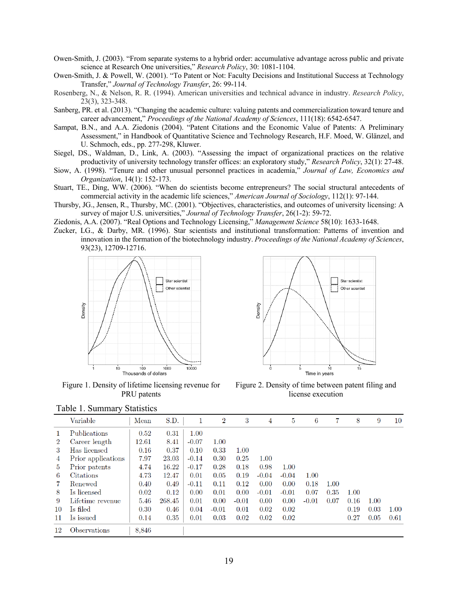- Owen-Smith, J. (2003). "From separate systems to a hybrid order: accumulative advantage across public and private science at Research One universities," *Research Policy*, 30: 1081-1104.
- Owen-Smith, J. & Powell, W. (2001). "To Patent or Not: Faculty Decisions and Institutional Success at Technology Transfer," *Journal of Technology Transfer*, 26: 99-114.
- Rosenberg, N., & Nelson, R. R. (1994). American universities and technical advance in industry. *Research Policy*, 23(3), 323-348.
- Sanberg, PR. et al. (2013). "Changing the academic culture: valuing patents and commercialization toward tenure and career advancement," *Proceedings of the National Academy of Sciences*, 111(18): 6542-6547.
- Sampat, B.N., and A.A. Ziedonis (2004). "Patent Citations and the Economic Value of Patents: A Preliminary Assessment," in Handbook of Quantitative Science and Technology Research, H.F. Moed, W. Glänzel, and U. Schmoch, eds., pp. 277-298, Kluwer.
- Siegel, DS., Waldman, D., Link, A. (2003). "Assessing the impact of organizational practices on the relative productivity of university technology transfer offices: an exploratory study," *Research Policy*, 32(1): 27-48.
- Siow, A. (1998). "Tenure and other unusual personnel practices in academia," *Journal of Law, Economics and Organization*, 14(1): 152-173.
- Stuart, TE., Ding, WW. (2006). "When do scientists become entrepreneurs? The social structural antecedents of commercial activity in the academic life sciences," *American Journal of Sociology*, 112(1): 97-144.
- Thursby, JG., Jensen, R., Thursby, MC. (2001). "Objectives, characteristics, and outcomes of university licensing: A survey of major U.S. universities," *Journal of Technology Transfer*, 26(1-2): 59-72.
- Ziedonis, A.A. (2007). "Real Options and Technology Licensing," *Management Science* 58(10): 1633-1648.
- Zucker, LG., & Darby, MR. (1996). Star scientists and institutional transformation: Patterns of invention and innovation in the formation of the biotechnology industry. *Proceedings of the National Academy of Sciences*, 93(23), 12709-12716.





Figure 1. Density of lifetime licensing revenue for PRU patents

Figure 2. Density of time between patent filing and license execution

|                | Variable           | Mean  | S.D.   | 1       | $\overline{2}$ | 3       | 4       | 5       | 6       | 7    | 8    | 9    | 10   |
|----------------|--------------------|-------|--------|---------|----------------|---------|---------|---------|---------|------|------|------|------|
|                | Publications       | 0.52  | 0.31   | 1.00    |                |         |         |         |         |      |      |      |      |
| $\overline{2}$ | Career length      | 12.61 | 8.41   | $-0.07$ | 1.00           |         |         |         |         |      |      |      |      |
| 3              | Has licensed       | 0.16  | 0.37   | 0.10    | 0.33           | 1.00    |         |         |         |      |      |      |      |
| 4              | Prior applications | 7.97  | 23.03  | $-0.14$ | 0.30           | 0.25    | 1.00    |         |         |      |      |      |      |
| 5              | Prior patents      | 4.74  | 16.22  | $-0.17$ | 0.28           | 0.18    | 0.98    | 1.00    |         |      |      |      |      |
| 6              | Citations          | 4.73  | 12.47  | 0.01    | 0.05           | 0.19    | $-0.04$ | $-0.04$ | 1.00    |      |      |      |      |
|                | Renewed            | 0.40  | 0.49   | $-0.11$ | 0.11           | 0.12    | 0.00    | 0.00    | 0.18    | 1.00 |      |      |      |
| 8              | Is licensed        | 0.02  | 0.12   | 0.00    | 0.01           | 0.00    | $-0.01$ | $-0.01$ | 0.07    | 0.35 | 1.00 |      |      |
| 9              | Lifetime revenue   | 5.46  | 268.45 | 0.01    | 0.00           | $-0.01$ | 0.00    | 0.00    | $-0.01$ | 0.07 | 0.16 | 1.00 |      |
| 10             | Is filed           | 0.30  | 0.46   | 0.04    | $-0.01$        | 0.01    | 0.02    | 0.02    |         |      | 0.19 | 0.03 | 1.00 |
| 11             | Is issued          | 0.14  | 0.35   | 0.01    | 0.03           | 0.02    | 0.02    | 0.02    |         |      | 0.27 | 0.05 | 0.61 |
| 12             | Observations       | 8,846 |        |         |                |         |         |         |         |      |      |      |      |

Table 1. Summary Statistics